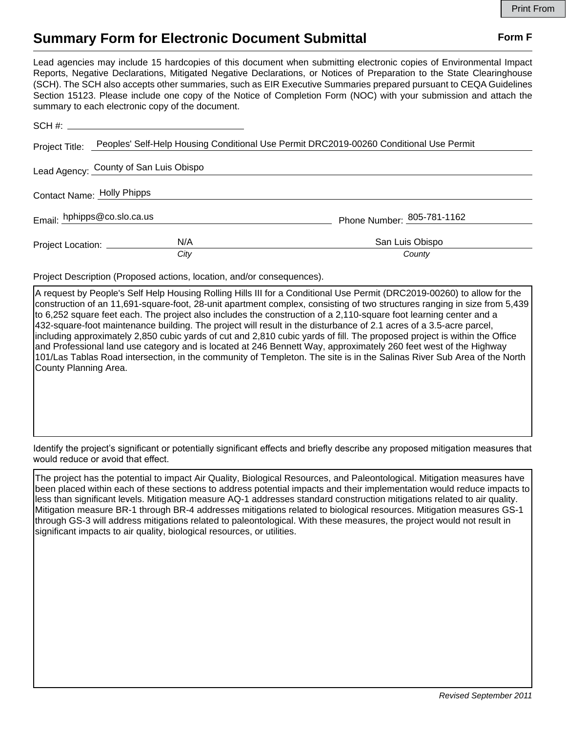## **Summary Form for Electronic Document Submittal Form F Form F**

Lead agencies may include 15 hardcopies of this document when submitting electronic copies of Environmental Impact Reports, Negative Declarations, Mitigated Negative Declarations, or Notices of Preparation to the State Clearinghouse (SCH). The SCH also accepts other summaries, such as EIR Executive Summaries prepared pursuant to CEQA Guidelines Section 15123. Please include one copy of the Notice of Completion Form (NOC) with your submission and attach the summary to each electronic copy of the document.

|                                        | Project Title: Peoples' Self-Help Housing Conditional Use Permit DRC2019-00260 Conditional Use Permit |                            |  |
|----------------------------------------|-------------------------------------------------------------------------------------------------------|----------------------------|--|
| Lead Agency: County of San Luis Obispo |                                                                                                       |                            |  |
| Contact Name: Holly Phipps             |                                                                                                       |                            |  |
| Email: hphipps@co.slo.ca.us            |                                                                                                       | Phone Number: 805-781-1162 |  |
|                                        | N/A<br>Project Location: ___________                                                                  | San Luis Obispo<br>County  |  |
|                                        | City                                                                                                  |                            |  |

Project Description (Proposed actions, location, and/or consequences).

A request by People's Self Help Housing Rolling Hills III for a Conditional Use Permit (DRC2019-00260) to allow for the construction of an 11,691-square-foot, 28-unit apartment complex, consisting of two structures ranging in size from 5,439 to 6,252 square feet each. The project also includes the construction of a 2,110-square foot learning center and a 432-square-foot maintenance building. The project will result in the disturbance of 2.1 acres of a 3.5-acre parcel, including approximately 2,850 cubic yards of cut and 2,810 cubic yards of fill. The proposed project is within the Office and Professional land use category and is located at 246 Bennett Way, approximately 260 feet west of the Highway 101/Las Tablas Road intersection, in the community of Templeton. The site is in the Salinas River Sub Area of the North County Planning Area.

Identify the project's significant or potentially significant effects and briefly describe any proposed mitigation measures that would reduce or avoid that effect.

The project has the potential to impact Air Quality, Biological Resources, and Paleontological. Mitigation measures have been placed within each of these sections to address potential impacts and their implementation would reduce impacts to less than significant levels. Mitigation measure AQ-1 addresses standard construction mitigations related to air quality. Mitigation measure BR-1 through BR-4 addresses mitigations related to biological resources. Mitigation measures GS-1 through GS-3 will address mitigations related to paleontological. With these measures, the project would not result in significant impacts to air quality, biological resources, or utilities.